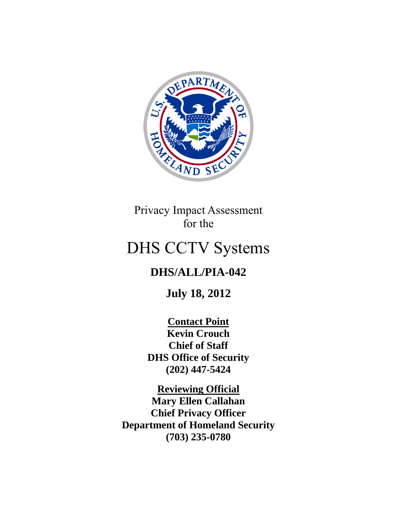

Privacy Impact Assessment for the

# DHS CCTV Systems

## **DHS/ALL/PIA-042**

**July 18, 2012**

**Contact Point Kevin Crouch Chief of Staff DHS Office of Security (202) 447-5424**

**Reviewing Official Mary Ellen Callahan Chief Privacy Officer Department of Homeland Security (703) 235-0780**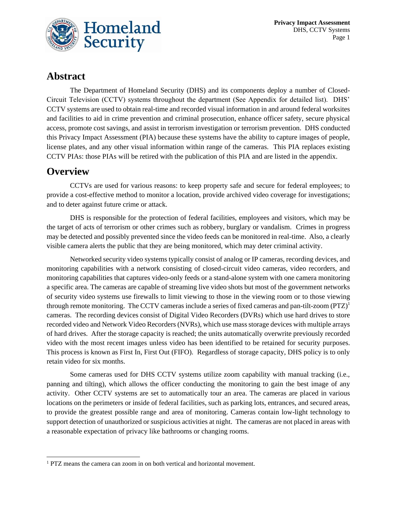

## **Abstract**

The Department of Homeland Security (DHS) and its components deploy a number of Closed-Circuit Television (CCTV) systems throughout the department (See Appendix for detailed list). DHS' CCTV systems are used to obtain real-time and recorded visual information in and around federal worksites and facilities to aid in crime prevention and criminal prosecution, enhance officer safety, secure physical access, promote cost savings, and assist in terrorism investigation or terrorism prevention. DHS conducted this Privacy Impact Assessment (PIA) because these systems have the ability to capture images of people, license plates, and any other visual information within range of the cameras. This PIA replaces existing CCTV PIAs: those PIAs will be retired with the publication of this PIA and are listed in the appendix.

## **Overview**

CCTVs are used for various reasons: to keep property safe and secure for federal employees; to provide a cost-effective method to monitor a location, provide archived video coverage for investigations; and to deter against future crime or attack.

DHS is responsible for the protection of federal facilities, employees and visitors, which may be the target of acts of terrorism or other crimes such as robbery, burglary or vandalism. Crimes in progress may be detected and possibly prevented since the video feeds can be monitored in real-time. Also, a clearly visible camera alerts the public that they are being monitored, which may deter criminal activity.

Networked security video systems typically consist of analog or IP cameras, recording devices, and monitoring capabilities with a network consisting of closed-circuit video cameras, video recorders, and monitoring capabilities that captures video-only feeds or a stand-alone system with one camera monitoring a specific area. The cameras are capable of streaming live video shots but most of the government networks of security video systems use firewalls to limit viewing to those in the viewing room or to those viewing through remote monitoring. The CCTV cameras include a series of fixed cameras and pan-tilt-zoom  $(PTZ)^1$ cameras. The recording devices consist of Digital Video Recorders (DVRs) which use hard drives to store recorded video and Network Video Recorders (NVRs), which use mass storage devices with multiple arrays of hard drives. After the storage capacity is reached; the units automatically overwrite previously recorded video with the most recent images unless video has been identified to be retained for security purposes. This process is known as First In, First Out (FIFO). Regardless of storage capacity, DHS policy is to only retain video for six months.

Some cameras used for DHS CCTV systems utilize zoom capability with manual tracking (i.e., panning and tilting), which allows the officer conducting the monitoring to gain the best image of any activity. Other CCTV systems are set to automatically tour an area. The cameras are placed in various locations on the perimeters or inside of federal facilities, such as parking lots, entrances, and secured areas, to provide the greatest possible range and area of monitoring. Cameras contain low-light technology to support detection of unauthorized or suspicious activities at night. The cameras are not placed in areas with a reasonable expectation of privacy like bathrooms or changing rooms.

<sup>&</sup>lt;sup>1</sup> PTZ means the camera can zoom in on both vertical and horizontal movement.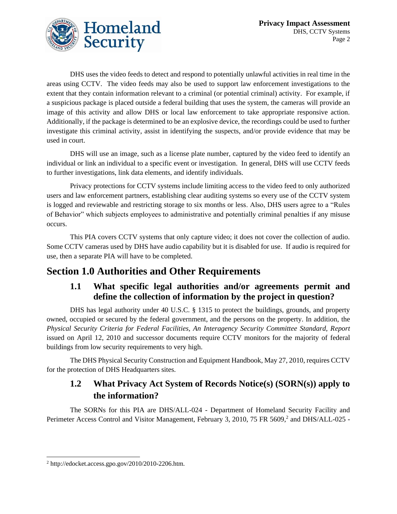

DHS uses the video feeds to detect and respond to potentially unlawful activities in real time in the areas using CCTV. The video feeds may also be used to support law enforcement investigations to the extent that they contain information relevant to a criminal (or potential criminal) activity. For example, if a suspicious package is placed outside a federal building that uses the system, the cameras will provide an image of this activity and allow DHS or local law enforcement to take appropriate responsive action. Additionally, if the package is determined to be an explosive device, the recordings could be used to further investigate this criminal activity, assist in identifying the suspects, and/or provide evidence that may be used in court.

DHS will use an image, such as a license plate number, captured by the video feed to identify an individual or link an individual to a specific event or investigation. In general, DHS will use CCTV feeds to further investigations, link data elements, and identify individuals.

Privacy protections for CCTV systems include limiting access to the video feed to only authorized users and law enforcement partners, establishing clear auditing systems so every use of the CCTV system is logged and reviewable and restricting storage to six months or less. Also, DHS users agree to a "Rules of Behavior" which subjects employees to administrative and potentially criminal penalties if any misuse occurs.

This PIA covers CCTV systems that only capture video; it does not cover the collection of audio. Some CCTV cameras used by DHS have audio capability but it is disabled for use. If audio is required for use, then a separate PIA will have to be completed.

## **Section 1.0 Authorities and Other Requirements**

## **1.1 What specific legal authorities and/or agreements permit and define the collection of information by the project in question?**

DHS has legal authority under 40 U.S.C. § 1315 to protect the buildings, grounds, and property owned, occupied or secured by the federal government, and the persons on the property. In addition, the *Physical Security Criteria for Federal Facilities, An Interagency Security Committee Standard, Report*  issued on April 12, 2010 and successor documents require CCTV monitors for the majority of federal buildings from low security requirements to very high.

The DHS Physical Security Construction and Equipment Handbook, May 27, 2010, requires CCTV for the protection of DHS Headquarters sites.

## **1.2 What Privacy Act System of Records Notice(s) (SORN(s)) apply to the information?**

The SORNs for this PIA are DHS/ALL-024 - Department of Homeland Security Facility and Perimeter Access Control and Visitor Management, February 3, 2010, 75 FR 5609,<sup>2</sup> and DHS/ALL-025 -

<sup>2</sup> http://edocket.access.gpo.gov/2010/2010-2206.htm.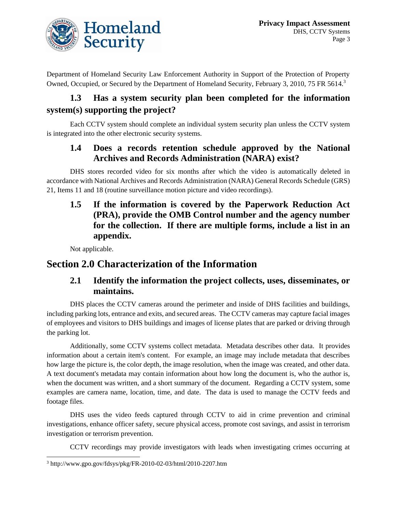

Department of Homeland Security Law Enforcement Authority in Support of the Protection of Property Owned, Occupied, or Secured by the Department of Homeland Security, February 3, 2010, 75 FR 5614.<sup>3</sup>

## **1.3 Has a system security plan been completed for the information system(s) supporting the project?**

Each CCTV system should complete an individual system security plan unless the CCTV system is integrated into the other electronic security systems.

#### **1.4 Does a records retention schedule approved by the National Archives and Records Administration (NARA) exist?**

DHS stores recorded video for six months after which the video is automatically deleted in accordance with National Archives and Records Administration (NARA) General Records Schedule (GRS) 21, Items 11 and 18 (routine surveillance motion picture and video recordings).

**1.5 If the information is covered by the Paperwork Reduction Act (PRA), provide the OMB Control number and the agency number for the collection. If there are multiple forms, include a list in an appendix.** 

Not applicable.

## **Section 2.0 Characterization of the Information**

#### **2.1 Identify the information the project collects, uses, disseminates, or maintains.**

DHS places the CCTV cameras around the perimeter and inside of DHS facilities and buildings, including parking lots, entrance and exits, and secured areas. The CCTV cameras may capture facial images of employees and visitors to DHS buildings and images of license plates that are parked or driving through the parking lot.

Additionally, some CCTV systems collect metadata. Metadata describes other data. It provides information about a certain item's content. For example, an image may include metadata that describes how large the picture is, the color depth, the image resolution, when the image was created, and other data. A text document's metadata may contain information about how long the document is, who the author is, when the document was written, and a short summary of the document. Regarding a CCTV system, some examples are camera name, location, time, and date. The data is used to manage the CCTV feeds and footage files.

DHS uses the video feeds captured through CCTV to aid in crime prevention and criminal investigations, enhance officer safety, secure physical access, promote cost savings, and assist in terrorism investigation or terrorism prevention.

CCTV recordings may provide investigators with leads when investigating crimes occurring at

<sup>3</sup> http://www.gpo.gov/fdsys/pkg/FR-2010-02-03/html/2010-2207.htm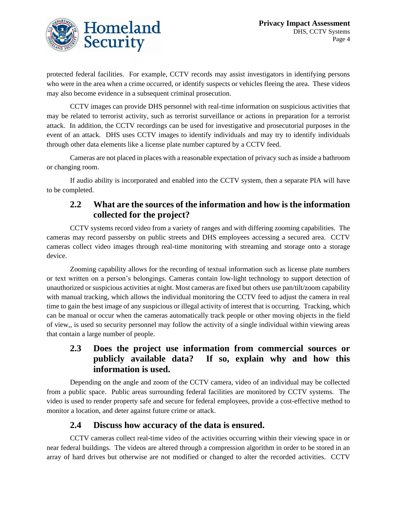

protected federal facilities. For example, CCTV records may assist investigators in identifying persons who were in the area when a crime occurred, or identify suspects or vehicles fleeing the area. These videos may also become evidence in a subsequent criminal prosecution.

CCTV images can provide DHS personnel with real-time information on suspicious activities that may be related to terrorist activity, such as terrorist surveillance or actions in preparation for a terrorist attack. In addition, the CCTV recordings can be used for investigative and prosecutorial purposes in the event of an attack. DHS uses CCTV images to identify individuals and may try to identify individuals through other data elements like a license plate number captured by a CCTV feed.

Cameras are not placed in places with a reasonable expectation of privacy such as inside a bathroom or changing room.

If audio ability is incorporated and enabled into the CCTV system, then a separate PIA will have to be completed.

## **2.2 What are the sources of the information and how is the information collected for the project?**

CCTV systems record video from a variety of ranges and with differing zooming capabilities. The cameras may record passersby on public streets and DHS employees accessing a secured area. CCTV cameras collect video images through real-time monitoring with streaming and storage onto a storage device.

Zooming capability allows for the recording of textual information such as license plate numbers or text written on a person's belongings. Cameras contain low-light technology to support detection of unauthorized or suspicious activities at night. Most cameras are fixed but others use pan/tilt/zoom capability with manual tracking, which allows the individual monitoring the CCTV feed to adjust the camera in real time to gain the best image of any suspicious or illegal activity of interest that is occurring. Tracking, which can be manual or occur when the cameras automatically track people or other moving objects in the field of view,, is used so security personnel may follow the activity of a single individual within viewing areas that contain a large number of people.

## **2.3 Does the project use information from commercial sources or publicly available data? If so, explain why and how this information is used.**

Depending on the angle and zoom of the CCTV camera, video of an individual may be collected from a public space. Public areas surrounding federal facilities are monitored by CCTV systems. The video is used to render property safe and secure for federal employees, provide a cost-effective method to monitor a location, and deter against future crime or attack.

#### **2.4 Discuss how accuracy of the data is ensured.**

CCTV cameras collect real-time video of the activities occurring within their viewing space in or near federal buildings. The videos are altered through a compression algorithm in order to be stored in an array of hard drives but otherwise are not modified or changed to alter the recorded activities. CCTV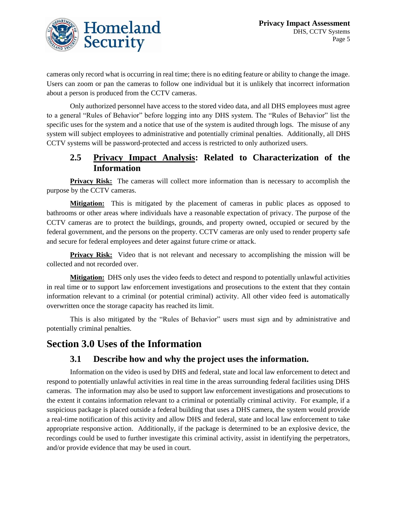

cameras only record what is occurring in real time; there is no editing feature or ability to change the image. Users can zoom or pan the cameras to follow one individual but it is unlikely that incorrect information about a person is produced from the CCTV cameras.

Only authorized personnel have access to the stored video data, and all DHS employees must agree to a general "Rules of Behavior" before logging into any DHS system. The "Rules of Behavior" list the specific uses for the system and a notice that use of the system is audited through logs. The misuse of any system will subject employees to administrative and potentially criminal penalties. Additionally, all DHS CCTV systems will be password-protected and access is restricted to only authorized users.

#### **2.5 Privacy Impact Analysis: Related to Characterization of the Information**

**Privacy Risk:** The cameras will collect more information than is necessary to accomplish the purpose by the CCTV cameras.

**Mitigation:** This is mitigated by the placement of cameras in public places as opposed to bathrooms or other areas where individuals have a reasonable expectation of privacy. The purpose of the CCTV cameras are to protect the buildings, grounds, and property owned, occupied or secured by the federal government, and the persons on the property. CCTV cameras are only used to render property safe and secure for federal employees and deter against future crime or attack.

**Privacy Risk:** Video that is not relevant and necessary to accomplishing the mission will be collected and not recorded over.

**Mitigation:** DHS only uses the video feeds to detect and respond to potentially unlawful activities in real time or to support law enforcement investigations and prosecutions to the extent that they contain information relevant to a criminal (or potential criminal) activity. All other video feed is automatically overwritten once the storage capacity has reached its limit.

This is also mitigated by the "Rules of Behavior" users must sign and by administrative and potentially criminal penalties.

## **Section 3.0 Uses of the Information**

#### **3.1 Describe how and why the project uses the information.**

Information on the video is used by DHS and federal, state and local law enforcement to detect and respond to potentially unlawful activities in real time in the areas surrounding federal facilities using DHS cameras. The information may also be used to support law enforcement investigations and prosecutions to the extent it contains information relevant to a criminal or potentially criminal activity. For example, if a suspicious package is placed outside a federal building that uses a DHS camera, the system would provide a real-time notification of this activity and allow DHS and federal, state and local law enforcement to take appropriate responsive action. Additionally, if the package is determined to be an explosive device, the recordings could be used to further investigate this criminal activity, assist in identifying the perpetrators, and/or provide evidence that may be used in court.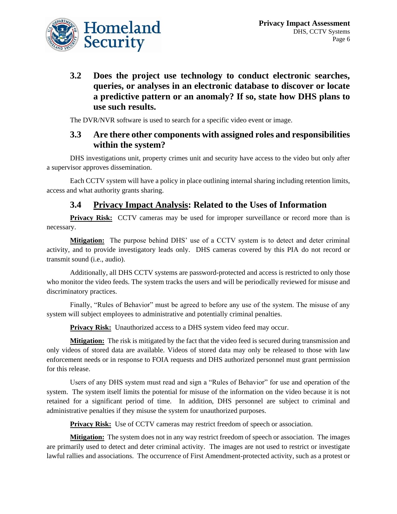

**3.2 Does the project use technology to conduct electronic searches, queries, or analyses in an electronic database to discover or locate a predictive pattern or an anomaly? If so, state how DHS plans to use such results.** 

The DVR/NVR software is used to search for a specific video event or image.

#### **3.3 Are there other components with assigned roles and responsibilities within the system?**

DHS investigations unit, property crimes unit and security have access to the video but only after a supervisor approves dissemination.

Each CCTV system will have a policy in place outlining internal sharing including retention limits, access and what authority grants sharing.

## **3.4 Privacy Impact Analysis: Related to the Uses of Information**

**Privacy Risk:** CCTV cameras may be used for improper surveillance or record more than is necessary.

**Mitigation:** The purpose behind DHS' use of a CCTV system is to detect and deter criminal activity, and to provide investigatory leads only. DHS cameras covered by this PIA do not record or transmit sound (i.e., audio).

Additionally, all DHS CCTV systems are password-protected and access is restricted to only those who monitor the video feeds. The system tracks the users and will be periodically reviewed for misuse and discriminatory practices.

Finally, "Rules of Behavior" must be agreed to before any use of the system. The misuse of any system will subject employees to administrative and potentially criminal penalties.

**Privacy Risk:** Unauthorized access to a DHS system video feed may occur.

**Mitigation:** The risk is mitigated by the fact that the video feed is secured during transmission and only videos of stored data are available. Videos of stored data may only be released to those with law enforcement needs or in response to FOIA requests and DHS authorized personnel must grant permission for this release.

Users of any DHS system must read and sign a "Rules of Behavior" for use and operation of the system. The system itself limits the potential for misuse of the information on the video because it is not retained for a significant period of time. In addition, DHS personnel are subject to criminal and administrative penalties if they misuse the system for unauthorized purposes.

**Privacy Risk:** Use of CCTV cameras may restrict freedom of speech or association.

**Mitigation:** The system does not in any way restrict freedom of speech or association. The images are primarily used to detect and deter criminal activity. The images are not used to restrict or investigate lawful rallies and associations. The occurrence of First Amendment-protected activity, such as a protest or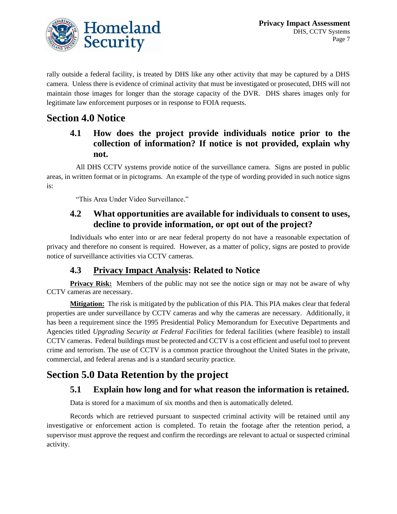

rally outside a federal facility, is treated by DHS like any other activity that may be captured by a DHS camera. Unless there is evidence of criminal activity that must be investigated or prosecuted, DHS will not maintain those images for longer than the storage capacity of the DVR. DHS shares images only for legitimate law enforcement purposes or in response to FOIA requests.

## **Section 4.0 Notice**

## **4.1 How does the project provide individuals notice prior to the collection of information? If notice is not provided, explain why not.**

All DHS CCTV systems provide notice of the surveillance camera. Signs are posted in public areas, in written format or in pictograms. An example of the type of wording provided in such notice signs is:

"This Area Under Video Surveillance."

#### **4.2 What opportunities are available for individuals to consent to uses, decline to provide information, or opt out of the project?**

Individuals who enter into or are near federal property do not have a reasonable expectation of privacy and therefore no consent is required. However, as a matter of policy, signs are posted to provide notice of surveillance activities via CCTV cameras.

## **4.3 Privacy Impact Analysis: Related to Notice**

**Privacy Risk:** Members of the public may not see the notice sign or may not be aware of why CCTV cameras are necessary.

**Mitigation:** The risk is mitigated by the publication of this PIA. This PIA makes clear that federal properties are under surveillance by CCTV cameras and why the cameras are necessary. Additionally, it has been a requirement since the 1995 Presidential Policy Memorandum for Executive Departments and Agencies titled *Upgrading Security at Federal Facilities* for federal facilities (where feasible) to install CCTV cameras. Federal buildings must be protected and CCTV is a cost efficient and useful tool to prevent crime and terrorism. The use of CCTV is a common practice throughout the United States in the private, commercial, and federal arenas and is a standard security practice.

## **Section 5.0 Data Retention by the project**

## **5.1 Explain how long and for what reason the information is retained.**

Data is stored for a maximum of six months and then is automatically deleted.

Records which are retrieved pursuant to suspected criminal activity will be retained until any investigative or enforcement action is completed. To retain the footage after the retention period, a supervisor must approve the request and confirm the recordings are relevant to actual or suspected criminal activity.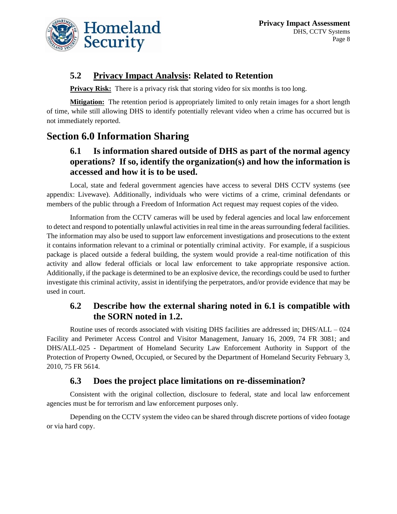

### **5.2 Privacy Impact Analysis: Related to Retention**

**Privacy Risk:** There is a privacy risk that storing video for six months is too long.

**Mitigation:** The retention period is appropriately limited to only retain images for a short length of time, while still allowing DHS to identify potentially relevant video when a crime has occurred but is not immediately reported.

## **Section 6.0 Information Sharing**

## **6.1 Is information shared outside of DHS as part of the normal agency operations? If so, identify the organization(s) and how the information is accessed and how it is to be used.**

Local, state and federal government agencies have access to several DHS CCTV systems (see appendix: Livewave). Additionally, individuals who were victims of a crime, criminal defendants or members of the public through a Freedom of Information Act request may request copies of the video.

Information from the CCTV cameras will be used by federal agencies and local law enforcement to detect and respond to potentially unlawful activities in real time in the areas surrounding federal facilities. The information may also be used to support law enforcement investigations and prosecutions to the extent it contains information relevant to a criminal or potentially criminal activity. For example, if a suspicious package is placed outside a federal building, the system would provide a real-time notification of this activity and allow federal officials or local law enforcement to take appropriate responsive action. Additionally, if the package is determined to be an explosive device, the recordings could be used to further investigate this criminal activity, assist in identifying the perpetrators, and/or provide evidence that may be used in court.

## **6.2 Describe how the external sharing noted in 6.1 is compatible with the SORN noted in 1.2.**

Routine uses of records associated with visiting DHS facilities are addressed in; DHS/ALL – 024 Facility and Perimeter Access Control and Visitor Management, January 16, 2009, 74 FR 3081; and DHS/ALL-025 - Department of Homeland Security Law Enforcement Authority in Support of the Protection of Property Owned, Occupied, or Secured by the Department of Homeland Security February 3, 2010, 75 FR 5614.

#### **6.3 Does the project place limitations on re-dissemination?**

Consistent with the original collection, disclosure to federal, state and local law enforcement agencies must be for terrorism and law enforcement purposes only.

Depending on the CCTV system the video can be shared through discrete portions of video footage or via hard copy.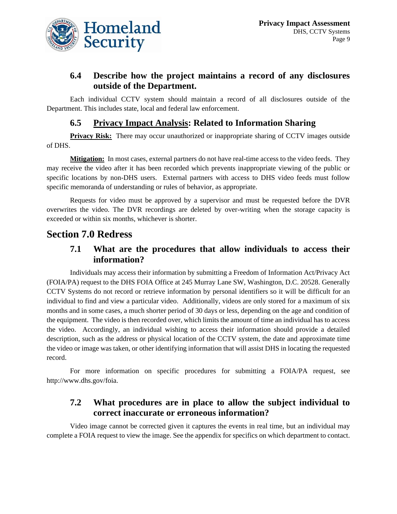

## **6.4 Describe how the project maintains a record of any disclosures outside of the Department.**

Each individual CCTV system should maintain a record of all disclosures outside of the Department. This includes state, local and federal law enforcement.

### **6.5 Privacy Impact Analysis: Related to Information Sharing**

**Privacy Risk:** There may occur unauthorized or inappropriate sharing of CCTV images outside of DHS.

**Mitigation:** In most cases, external partners do not have real-time access to the video feeds. They may receive the video after it has been recorded which prevents inappropriate viewing of the public or specific locations by non-DHS users. External partners with access to DHS video feeds must follow specific memoranda of understanding or rules of behavior, as appropriate.

Requests for video must be approved by a supervisor and must be requested before the DVR overwrites the video. The DVR recordings are deleted by over-writing when the storage capacity is exceeded or within six months, whichever is shorter.

## **Section 7.0 Redress**

#### **7.1 What are the procedures that allow individuals to access their information?**

Individuals may access their information by submitting a Freedom of Information Act/Privacy Act (FOIA/PA) request to the DHS FOIA Office at 245 Murray Lane SW, Washington, D.C. 20528. Generally CCTV Systems do not record or retrieve information by personal identifiers so it will be difficult for an individual to find and view a particular video. Additionally, videos are only stored for a maximum of six months and in some cases, a much shorter period of 30 days or less, depending on the age and condition of the equipment. The video is then recorded over, which limits the amount of time an individual has to access the video. Accordingly, an individual wishing to access their information should provide a detailed description, such as the address or physical location of the CCTV system, the date and approximate time the video or image was taken, or other identifying information that will assist DHS in locating the requested record.

For more information on specific procedures for submitting a FOIA/PA request, see http://www.dhs.gov/foia.

#### **7.2 What procedures are in place to allow the subject individual to correct inaccurate or erroneous information?**

Video image cannot be corrected given it captures the events in real time, but an individual may complete a FOIA request to view the image. See the appendix for specifics on which department to contact.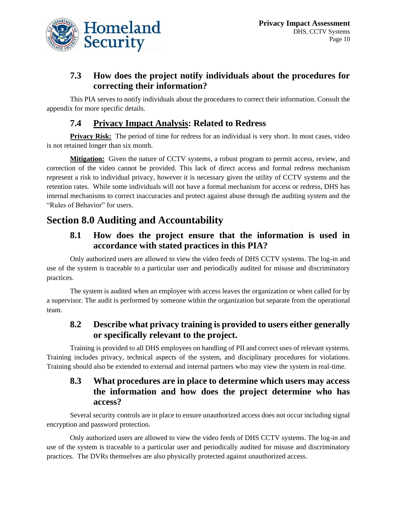

## **7.3 How does the project notify individuals about the procedures for correcting their information?**

This PIA serves to notify individuals about the procedures to correct their information. Consult the appendix for more specific details.

## **7.4 Privacy Impact Analysis: Related to Redress**

**Privacy Risk:** The period of time for redress for an individual is very short. In most cases, video is not retained longer than six month.

**Mitigation:** Given the nature of CCTV systems, a robust program to permit access, review, and correction of the video cannot be provided. This lack of direct access and formal redress mechanism represent a risk to individual privacy, however it is necessary given the utility of CCTV systems and the retention rates. While some individuals will not have a formal mechanism for access or redress, DHS has internal mechanisms to correct inaccuracies and protect against abuse through the auditing system and the "Rules of Behavior" for users.

## **Section 8.0 Auditing and Accountability**

#### **8.1 How does the project ensure that the information is used in accordance with stated practices in this PIA?**

Only authorized users are allowed to view the video feeds of DHS CCTV systems. The log-in and use of the system is traceable to a particular user and periodically audited for misuse and discriminatory practices.

The system is audited when an employee with access leaves the organization or when called for by a supervisor. The audit is performed by someone within the organization but separate from the operational team.

#### **8.2 Describe what privacy training is provided to users either generally or specifically relevant to the project.**

Training is provided to all DHS employees on handling of PII and correct uses of relevant systems. Training includes privacy, technical aspects of the system, and disciplinary procedures for violations. Training should also be extended to external and internal partners who may view the system in real-time.

## **8.3 What procedures are in place to determine which users may access the information and how does the project determine who has access?**

Several security controls are in place to ensure unauthorized access does not occur including signal encryption and password protection.

Only authorized users are allowed to view the video feeds of DHS CCTV systems. The log-in and use of the system is traceable to a particular user and periodically audited for misuse and discriminatory practices. The DVRs themselves are also physically protected against unauthorized access.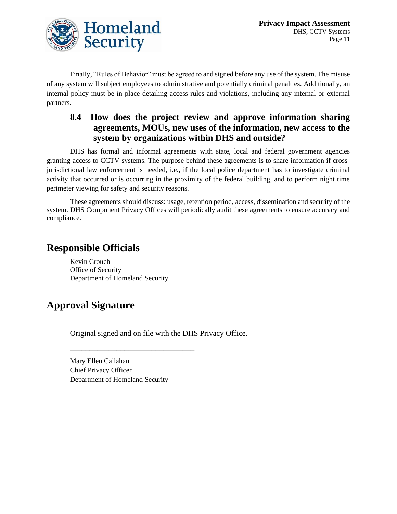

Finally, "Rules of Behavior" must be agreed to and signed before any use of the system. The misuse of any system will subject employees to administrative and potentially criminal penalties. Additionally, an internal policy must be in place detailing access rules and violations, including any internal or external partners.

## **8.4 How does the project review and approve information sharing agreements, MOUs, new uses of the information, new access to the system by organizations within DHS and outside?**

DHS has formal and informal agreements with state, local and federal government agencies granting access to CCTV systems. The purpose behind these agreements is to share information if crossjurisdictional law enforcement is needed, i.e., if the local police department has to investigate criminal activity that occurred or is occurring in the proximity of the federal building, and to perform night time perimeter viewing for safety and security reasons.

These agreements should discuss: usage, retention period, access, dissemination and security of the system. DHS Component Privacy Offices will periodically audit these agreements to ensure accuracy and compliance.

## **Responsible Officials**

Kevin Crouch Office of Security Department of Homeland Security

## **Approval Signature**

Original signed and on file with the DHS Privacy Office.

Mary Ellen Callahan Chief Privacy Officer Department of Homeland Security

\_\_\_\_\_\_\_\_\_\_\_\_\_\_\_\_\_\_\_\_\_\_\_\_\_\_\_\_\_\_\_\_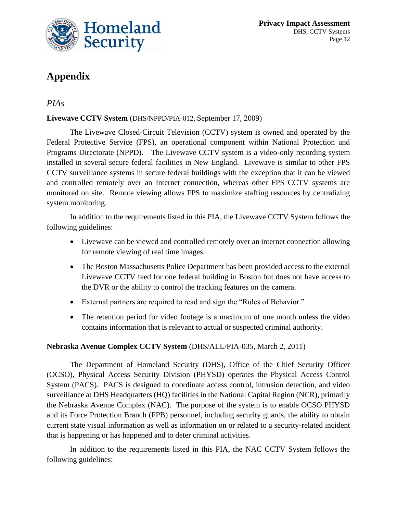

## **Appendix**

### *PIAs*

#### **Livewave CCTV System** (DHS/NPPD/PIA-012, September 17, 2009)

The Livewave Closed-Circuit Television (CCTV) system is owned and operated by the Federal Protective Service (FPS), an operational component within National Protection and Programs Directorate (NPPD). The Livewave CCTV system is a video-only recording system installed in several secure federal facilities in New England. Livewave is similar to other FPS CCTV surveillance systems in secure federal buildings with the exception that it can be viewed and controlled remotely over an Internet connection, whereas other FPS CCTV systems are monitored on site. Remote viewing allows FPS to maximize staffing resources by centralizing system monitoring.

In addition to the requirements listed in this PIA, the Livewave CCTV System follows the following guidelines:

- Livewave can be viewed and controlled remotely over an internet connection allowing for remote viewing of real time images.
- The Boston Massachusetts Police Department has been provided access to the external Livewave CCTV feed for one federal building in Boston but does not have access to the DVR or the ability to control the tracking features on the camera.
- External partners are required to read and sign the "Rules of Behavior."
- The retention period for video footage is a maximum of one month unless the video contains information that is relevant to actual or suspected criminal authority.

#### **Nebraska Avenue Complex CCTV System** (DHS/ALL/PIA-035, March 2, 2011)

The Department of Homeland Security (DHS), Office of the Chief Security Officer (OCSO), Physical Access Security Division (PHYSD) operates the Physical Access Control System (PACS). PACS is designed to coordinate access control, intrusion detection, and video surveillance at DHS Headquarters (HQ) facilities in the National Capital Region (NCR), primarily the Nebraska Avenue Complex (NAC). The purpose of the system is to enable OCSO PHYSD and its Force Protection Branch (FPB) personnel, including security guards, the ability to obtain current state visual information as well as information on or related to a security-related incident that is happening or has happened and to deter criminal activities.

In addition to the requirements listed in this PIA, the NAC CCTV System follows the following guidelines: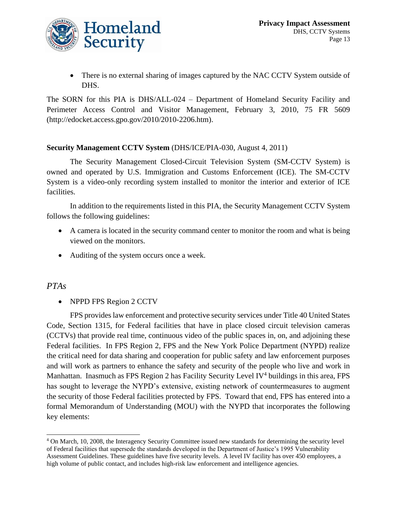

• There is no external sharing of images captured by the NAC CCTV System outside of DHS.

The SORN for this PIA is DHS/ALL-024 – Department of Homeland Security Facility and Perimeter Access Control and Visitor Management, February 3, 2010, 75 FR 5609 (http://edocket.access.gpo.gov/2010/2010-2206.htm).

#### **Security Management CCTV System** (DHS/ICE/PIA-030, August 4, 2011)

The Security Management Closed-Circuit Television System (SM-CCTV System) is owned and operated by U.S. Immigration and Customs Enforcement (ICE). The SM-CCTV System is a video-only recording system installed to monitor the interior and exterior of ICE facilities.

In addition to the requirements listed in this PIA, the Security Management CCTV System follows the following guidelines:

- A camera is located in the security command center to monitor the room and what is being viewed on the monitors.
- Auditing of the system occurs once a week.

#### *PTAs*

• NPPD FPS Region 2 CCTV

FPS provides law enforcement and protective security services under Title 40 United States Code, Section 1315, for Federal facilities that have in place closed circuit television cameras (CCTVs) that provide real time, continuous video of the public spaces in, on, and adjoining these Federal facilities. In FPS Region 2, FPS and the New York Police Department (NYPD) realize the critical need for data sharing and cooperation for public safety and law enforcement purposes and will work as partners to enhance the safety and security of the people who live and work in Manhattan. Inasmuch as FPS Region 2 has Facility Security Level IV<sup>4</sup> buildings in this area, FPS has sought to leverage the NYPD's extensive, existing network of countermeasures to augment the security of those Federal facilities protected by FPS. Toward that end, FPS has entered into a formal Memorandum of Understanding (MOU) with the NYPD that incorporates the following key elements:

<sup>4</sup> On March, 10, 2008, the Interagency Security Committee issued new standards for determining the security level of Federal facilities that supersede the standards developed in the Department of Justice's 1995 Vulnerability Assessment Guidelines. These guidelines have five security levels. A level IV facility has over 450 employees, a high volume of public contact, and includes high-risk law enforcement and intelligence agencies.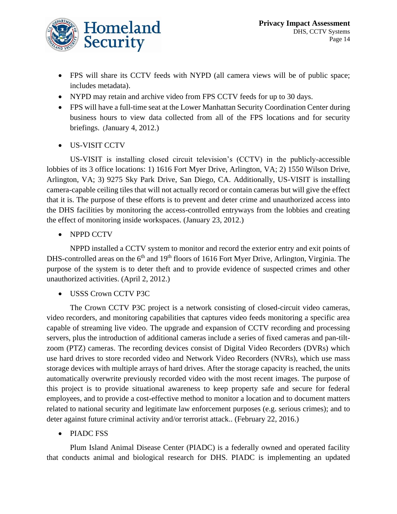

- FPS will share its CCTV feeds with NYPD (all camera views will be of public space; includes metadata).
- NYPD may retain and archive video from FPS CCTV feeds for up to 30 days.
- FPS will have a full-time seat at the Lower Manhattan Security Coordination Center during business hours to view data collected from all of the FPS locations and for security briefings. (January 4, 2012.)
- US-VISIT CCTV

US-VISIT is installing closed circuit television's (CCTV) in the publicly-accessible lobbies of its 3 office locations: 1) 1616 Fort Myer Drive, Arlington, VA; 2) 1550 Wilson Drive, Arlington, VA; 3) 9275 Sky Park Drive, San Diego, CA. Additionally, US-VISIT is installing camera-capable ceiling tiles that will not actually record or contain cameras but will give the effect that it is. The purpose of these efforts is to prevent and deter crime and unauthorized access into the DHS facilities by monitoring the access-controlled entryways from the lobbies and creating the effect of monitoring inside workspaces. (January 23, 2012.)

• NPPD CCTV

NPPD installed a CCTV system to monitor and record the exterior entry and exit points of DHS-controlled areas on the 6<sup>th</sup> and 19<sup>th</sup> floors of 1616 Fort Myer Drive, Arlington, Virginia. The purpose of the system is to deter theft and to provide evidence of suspected crimes and other unauthorized activities. (April 2, 2012.)

• USSS Crown CCTV P3C

The Crown CCTV P3C project is a network consisting of closed-circuit video cameras, video recorders, and monitoring capabilities that captures video feeds monitoring a specific area capable of streaming live video. The upgrade and expansion of CCTV recording and processing servers, plus the introduction of additional cameras include a series of fixed cameras and pan-tiltzoom (PTZ) cameras. The recording devices consist of Digital Video Recorders (DVRs) which use hard drives to store recorded video and Network Video Recorders (NVRs), which use mass storage devices with multiple arrays of hard drives. After the storage capacity is reached, the units automatically overwrite previously recorded video with the most recent images. The purpose of this project is to provide situational awareness to keep property safe and secure for federal employees, and to provide a cost-effective method to monitor a location and to document matters related to national security and legitimate law enforcement purposes (e.g. serious crimes); and to deter against future criminal activity and/or terrorist attack.. (February 22, 2016.)

• PIADC FSS

Plum Island Animal Disease Center (PIADC) is a federally owned and operated facility that conducts animal and biological research for DHS. PIADC is implementing an updated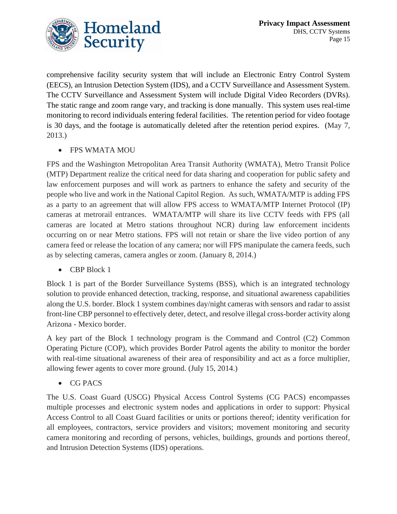

comprehensive facility security system that will include an Electronic Entry Control System (EECS), an Intrusion Detection System (IDS), and a CCTV Surveillance and Assessment System. The CCTV Surveillance and Assessment System will include Digital Video Recorders (DVRs). The static range and zoom range vary, and tracking is done manually. This system uses real-time monitoring to record individuals entering federal facilities. The retention period for video footage is 30 days, and the footage is automatically deleted after the retention period expires. (May 7, 2013.)

#### • FPS WMATA MOU

FPS and the Washington Metropolitan Area Transit Authority (WMATA), Metro Transit Police (MTP) Department realize the critical need for data sharing and cooperation for public safety and law enforcement purposes and will work as partners to enhance the safety and security of the people who live and work in the National Capitol Region. As such, WMATA/MTP is adding FPS as a party to an agreement that will allow FPS access to WMATA/MTP Internet Protocol (IP) cameras at metrorail entrances. WMATA/MTP will share its live CCTV feeds with FPS (all cameras are located at Metro stations throughout NCR) during law enforcement incidents occurring on or near Metro stations. FPS will not retain or share the live video portion of any camera feed or release the location of any camera; nor will FPS manipulate the camera feeds, such as by selecting cameras, camera angles or zoom. (January 8, 2014.)

• CBP Block 1

Block 1 is part of the Border Surveillance Systems (BSS), which is an integrated technology solution to provide enhanced detection, tracking, response, and situational awareness capabilities along the U.S. border. Block 1 system combines day/night cameras with sensors and radar to assist front-line CBP personnel to effectively deter, detect, and resolve illegal cross-border activity along Arizona - Mexico border.

A key part of the Block 1 technology program is the Command and Control (C2) Common Operating Picture (COP), which provides Border Patrol agents the ability to monitor the border with real-time situational awareness of their area of responsibility and act as a force multiplier, allowing fewer agents to cover more ground. (July 15, 2014.)

• CG PACS

The U.S. Coast Guard (USCG) Physical Access Control Systems (CG PACS) encompasses multiple processes and electronic system nodes and applications in order to support: Physical Access Control to all Coast Guard facilities or units or portions thereof; identity verification for all employees, contractors, service providers and visitors; movement monitoring and security camera monitoring and recording of persons, vehicles, buildings, grounds and portions thereof, and Intrusion Detection Systems (IDS) operations.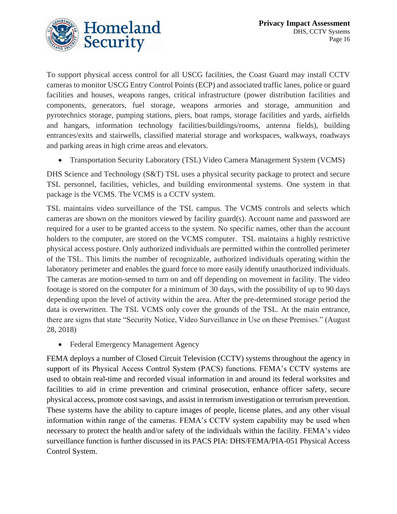

To support physical access control for all USCG facilities, the Coast Guard may install CCTV cameras to monitor USCG Entry Control Points (ECP) and associated traffic lanes, police or guard facilities and houses, weapons ranges, critical infrastructure (power distribution facilities and components, generators, fuel storage, weapons armories and storage, ammunition and pyrotechnics storage, pumping stations, piers, boat ramps, storage facilities and yards, airfields and hangars, information technology facilities/buildings/rooms, antenna fields), building entrances/exits and stairwells, classified material storage and workspaces, walkways, roadways and parking areas in high crime areas and elevators.

• Transportation Security Laboratory (TSL) Video Camera Management System (VCMS)

DHS Science and Technology (S&T) TSL uses a physical security package to protect and secure TSL personnel, facilities, vehicles, and building environmental systems. One system in that package is the VCMS. The VCMS is a CCTV system.

TSL maintains video surveillance of the TSL campus. The VCMS controls and selects which cameras are shown on the monitors viewed by facility guard(s). Account name and password are required for a user to be granted access to the system. No specific names, other than the account holders to the computer, are stored on the VCMS computer. TSL maintains a highly restrictive physical access posture. Only authorized individuals are permitted within the controlled perimeter of the TSL. This limits the number of recognizable, authorized individuals operating within the laboratory perimeter and enables the guard force to more easily identify unauthorized individuals. The cameras are motion-sensed to turn on and off depending on movement in facility. The video footage is stored on the computer for a minimum of 30 days, with the possibility of up to 90 days depending upon the level of activity within the area. After the pre-determined storage period the data is overwritten. The TSL VCMS only cover the grounds of the TSL. At the main entrance, there are signs that state "Security Notice, Video Surveillance in Use on these Premises." (August 28, 2018)

• Federal Emergency Management Agency

FEMA deploys a number of Closed Circuit Television (CCTV) systems throughout the agency in support of its Physical Access Control System (PACS) functions. FEMA's CCTV systems are used to obtain real-time and recorded visual information in and around its federal worksites and facilities to aid in crime prevention and criminal prosecution, enhance officer safety, secure physical access, promote cost savings, and assist in terrorism investigation or terrorism prevention. These systems have the ability to capture images of people, license plates, and any other visual information within range of the cameras. FEMA's CCTV system capability may be used when necessary to protect the health and/or safety of the individuals within the facility. FEMA's video surveillance function is further discussed in its PACS PIA: DHS/FEMA/PIA-051 Physical Access Control System.